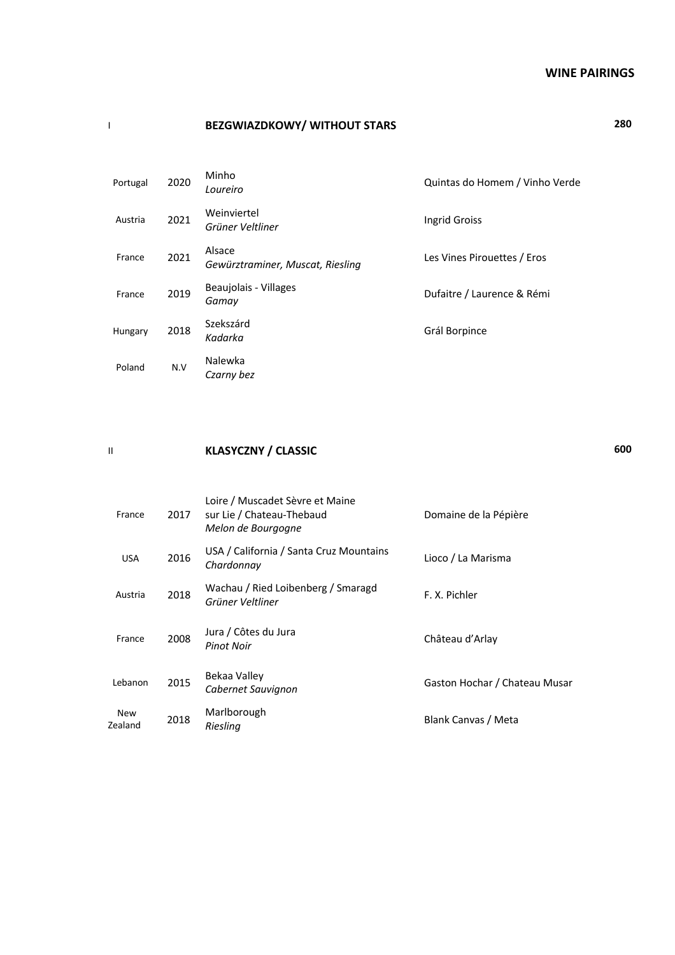#### **WINE PAIRINGS**

## I **BEZGWIAZDKOWY/ WITHOUT STARS 280**

| Portugal | 2020 | Minho<br>Loureiro                          | Quintas do Homem / Vinho Verde |
|----------|------|--------------------------------------------|--------------------------------|
| Austria  | 2021 | Weinviertel<br>Grüner Veltliner            | Ingrid Groiss                  |
| France   | 2021 | Alsace<br>Gewürztraminer, Muscat, Riesling | Les Vines Pirouettes / Eros    |
| France   | 2019 | Beaujolais - Villages<br>Gamay             | Dufaitre / Laurence & Rémi     |
| Hungary  | 2018 | Szekszárd<br>Kadarka                       | Grál Borpince                  |
| Poland   | N.V  | Nalewka<br>Czarny bez                      |                                |

#### II **KLASYCZNY / CLASSIC 600**

France 2017 Loire / Muscadet Sèvre et Maine sur Lie / Chateau-Thebaud *Melon de Bourgogne* Domaine de la Pépière USA 2016 USA / California / Santa Cruz Mountains<br>Chardonnay *Chardonnay* Lioco / La Marisma Austria <sup>2018</sup> Wachau / Ried Loibenberg / Smaragd wachau / Ried Loibenberg / Smaragd<br>*Grüner Veltliner Grüner Veltliner* France 2008 Jura / Côtes du Jura<br>
Pinot Noir *Pinot Noir* Château d'Arlay Lebanon 2015 Bekaa Valley<br>Cabernet Sauvignon *Cabernet Sauvignon* Gaston Hochar / Chateau Musar New<br>Zealand 2018 Marlborough<br>Riesling *Riesling* Blank Canvas / Meta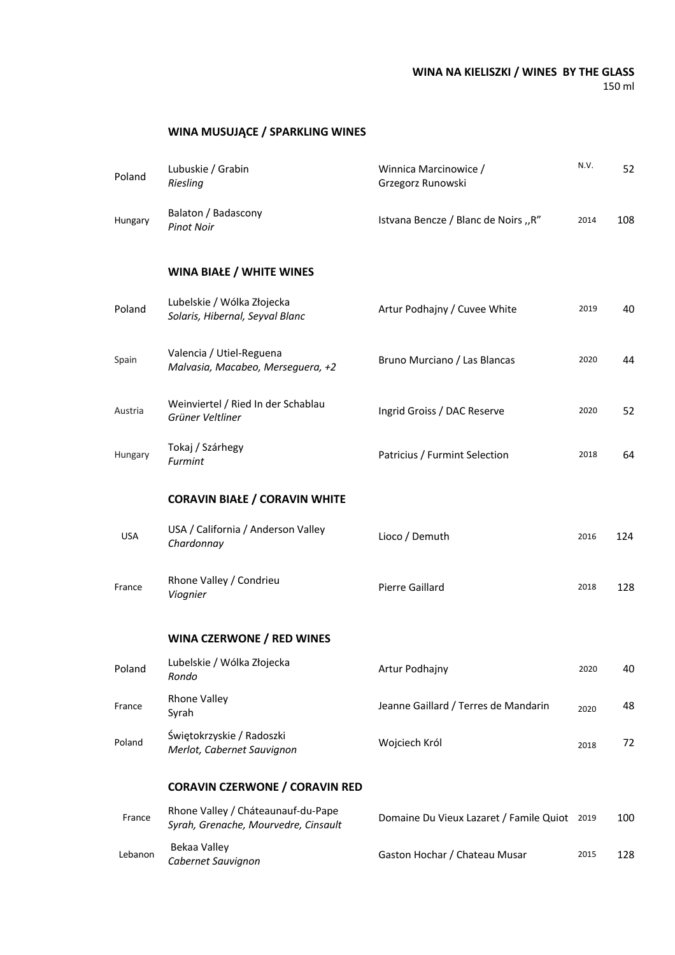#### **WINA NA KIELISZKI / WINES BY THE GLASS** 150 ml

# **WINA MUSUJĄCE / SPARKLING WINES**

| Poland     | Lubuskie / Grabin<br>Riesling                                              | Winnica Marcinowice /<br>Grzegorz Runowski   | N.V. | 52  |
|------------|----------------------------------------------------------------------------|----------------------------------------------|------|-----|
| Hungary    | Balaton / Badascony<br><b>Pinot Noir</b>                                   | Istvana Bencze / Blanc de Noirs "R"          | 2014 | 108 |
|            | <b>WINA BIAŁE / WHITE WINES</b>                                            |                                              |      |     |
| Poland     | Lubelskie / Wólka Złojecka<br>Solaris, Hibernal, Seyval Blanc              | Artur Podhajny / Cuvee White                 | 2019 | 40  |
| Spain      | Valencia / Utiel-Reguena<br>Malvasia, Macabeo, Merseguera, +2              | Bruno Murciano / Las Blancas                 | 2020 | 44  |
| Austria    | Weinviertel / Ried In der Schablau<br>Grüner Veltliner                     | Ingrid Groiss / DAC Reserve                  | 2020 | 52  |
| Hungary    | Tokaj / Szárhegy<br>Furmint                                                | Patricius / Furmint Selection                | 2018 | 64  |
|            | <b>CORAVIN BIAŁE / CORAVIN WHITE</b>                                       |                                              |      |     |
| <b>USA</b> | USA / California / Anderson Valley<br>Chardonnay                           | Lioco / Demuth                               | 2016 | 124 |
| France     | Rhone Valley / Condrieu<br>Viognier                                        | Pierre Gaillard                              | 2018 | 128 |
|            | <b>WINA CZERWONE / RED WINES</b>                                           |                                              |      |     |
| Poland     | Lubelskie / Wólka Złojecka<br>Rondo                                        | Artur Podhajny                               | 2020 | 40  |
| France     | <b>Rhone Valley</b><br>Syrah                                               | Jeanne Gaillard / Terres de Mandarin         | 2020 | 48  |
| Poland     | Świętokrzyskie / Radoszki<br>Merlot, Cabernet Sauvignon                    | Wojciech Król                                | 2018 | 72  |
|            | <b>CORAVIN CZERWONE / CORAVIN RED</b>                                      |                                              |      |     |
| France     | Rhone Valley / Cháteaunauf-du-Pape<br>Syrah, Grenache, Mourvedre, Cinsault | Domaine Du Vieux Lazaret / Famile Quiot 2019 |      | 100 |
| Lebanon    | Bekaa Valley<br>Cabernet Sauvignon                                         | Gaston Hochar / Chateau Musar                | 2015 | 128 |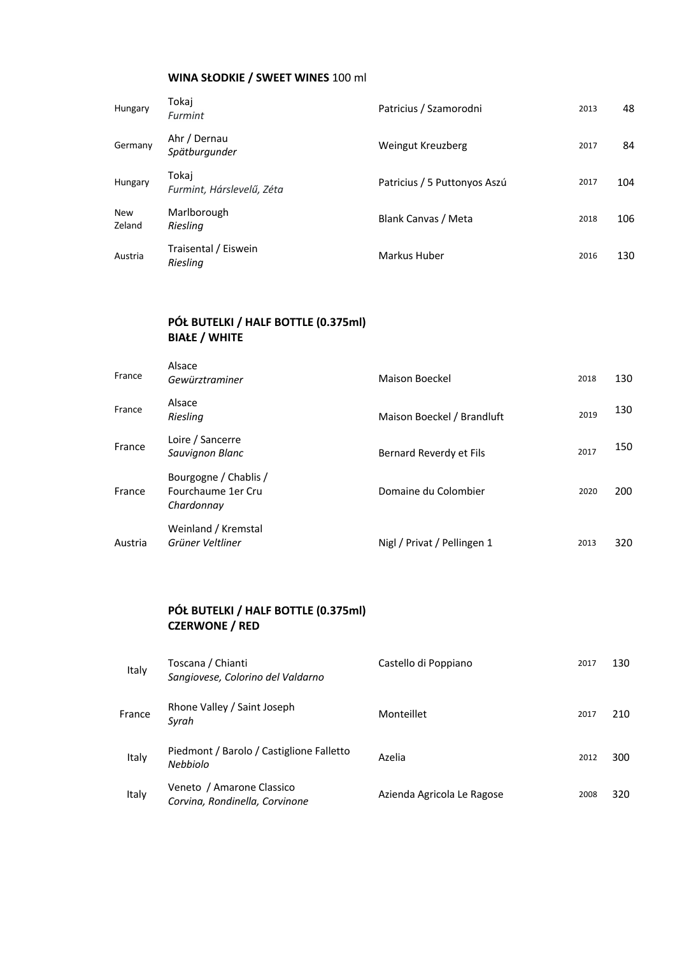# **WINA SŁODKIE / SWEET WINES** 100 ml

| Hungary              | Tokaj<br>Furmint                   | Patricius / Szamorodni       | 2013 | 48  |
|----------------------|------------------------------------|------------------------------|------|-----|
| Germany              | Ahr / Dernau<br>Spätburgunder      | Weingut Kreuzberg            | 2017 | 84  |
| Hungary              | Tokaj<br>Furmint, Hárslevelű, Zéta | Patricius / 5 Puttonyos Aszú | 2017 | 104 |
| <b>New</b><br>Zeland | Marlborough<br>Riesling            | Blank Canvas / Meta          | 2018 | 106 |
| Austria              | Traisental / Eiswein<br>Riesling   | Markus Huber                 | 2016 | 130 |

# **PÓŁ BUTELKI / HALF BOTTLE (0.375ml) BIAŁE / WHITE**

| France  | Alsace<br>Gewürztraminer                                  | Maison Boeckel              | 2018 | 130 |
|---------|-----------------------------------------------------------|-----------------------------|------|-----|
| France  | Alsace<br>Riesling                                        | Maison Boeckel / Brandluft  | 2019 | 130 |
| France  | Loire / Sancerre<br>Sauvignon Blanc                       | Bernard Reverdy et Fils     | 2017 | 150 |
| France  | Bourgogne / Chablis /<br>Fourchaume 1er Cru<br>Chardonnay | Domaine du Colombier        | 2020 | 200 |
| Austria | Weinland / Kremstal<br>Grüner Veltliner                   | Nigl / Privat / Pellingen 1 | 2013 | 320 |

# **PÓŁ BUTELKI / HALF BOTTLE (0.375ml) CZERWONE / RED**

| Italy  | Toscana / Chianti<br>Sangiovese, Colorino del Valdarno      | Castello di Poppiano       | 2017 | 130 |
|--------|-------------------------------------------------------------|----------------------------|------|-----|
| France | Rhone Valley / Saint Joseph<br>Syrah                        | Monteillet                 | 2017 | 210 |
| Italy  | Piedmont / Barolo / Castiglione Falletto<br>Nebbiolo        | Azelia                     | 2012 | 300 |
| Italy  | Veneto / Amarone Classico<br>Corvina, Rondinella, Corvinone | Azienda Agricola Le Ragose | 2008 | 320 |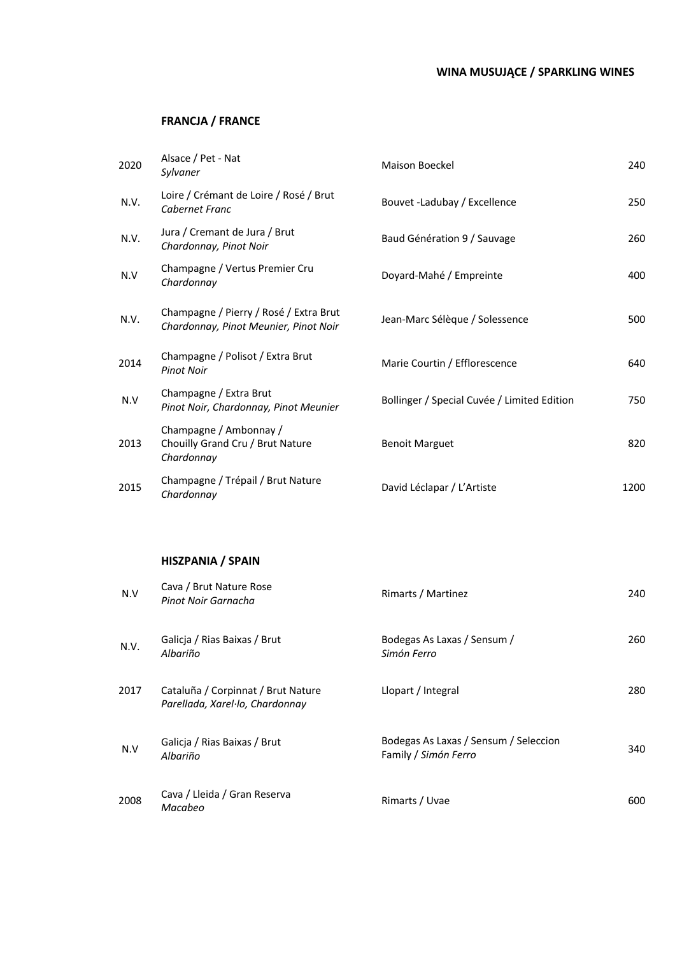# **FRANCJA / FRANCE**

| 2020 | Alsace / Pet - Nat<br>Sylvaner                                                  | <b>Maison Boeckel</b>                       | 240  |
|------|---------------------------------------------------------------------------------|---------------------------------------------|------|
| N.V. | Loire / Crémant de Loire / Rosé / Brut<br>Cabernet Franc                        | Bouvet -Ladubay / Excellence                | 250  |
| N.V. | Jura / Cremant de Jura / Brut<br>Chardonnay, Pinot Noir                         | Baud Génération 9 / Sauvage                 | 260  |
| N.V  | Champagne / Vertus Premier Cru<br>Chardonnay                                    | Doyard-Mahé / Empreinte                     | 400  |
| N.V. | Champagne / Pierry / Rosé / Extra Brut<br>Chardonnay, Pinot Meunier, Pinot Noir | Jean-Marc Sélèque / Solessence              | 500  |
| 2014 | Champagne / Polisot / Extra Brut<br><b>Pinot Noir</b>                           | Marie Courtin / Efflorescence               | 640  |
| N.V  | Champagne / Extra Brut<br>Pinot Noir, Chardonnay, Pinot Meunier                 | Bollinger / Special Cuvée / Limited Edition | 750  |
| 2013 | Champagne / Ambonnay /<br>Chouilly Grand Cru / Brut Nature<br>Chardonnay        | <b>Benoit Marguet</b>                       | 820  |
| 2015 | Champagne / Trépail / Brut Nature<br>Chardonnay                                 | David Léclapar / L'Artiste                  | 1200 |

## **HISZPANIA / SPAIN**

| N.V  | Cava / Brut Nature Rose<br>Pinot Noir Garnacha                        | Rimarts / Martinez                                            | 240 |
|------|-----------------------------------------------------------------------|---------------------------------------------------------------|-----|
| N.V. | Galicja / Rias Baixas / Brut<br>Albariño                              | Bodegas As Laxas / Sensum /<br>Simón Ferro                    | 260 |
| 2017 | Cataluña / Corpinnat / Brut Nature<br>Parellada, Xarel·lo, Chardonnay | Llopart / Integral                                            | 280 |
| N.V  | Galicja / Rias Baixas / Brut<br>Albariño                              | Bodegas As Laxas / Sensum / Seleccion<br>Family / Simón Ferro | 340 |
| 2008 | Cava / Lleida / Gran Reserva<br>Macabeo                               | Rimarts / Uvae                                                | 600 |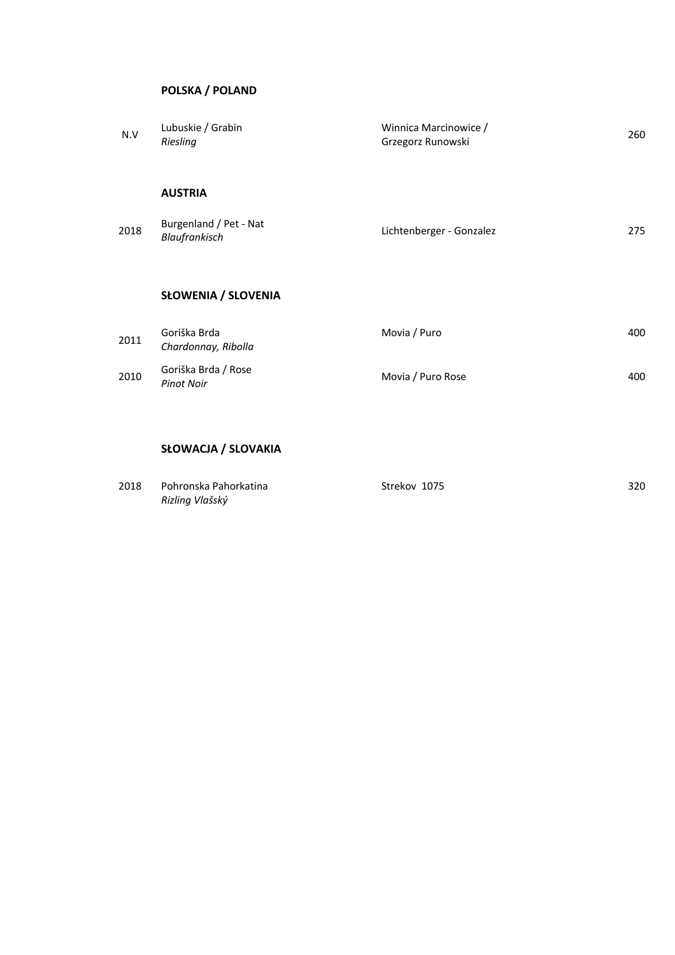## **POLSKA / POLAND**

| N.V  | Lubuskie / Grabin<br>Riesling            | Winnica Marcinowice /<br>Grzegorz Runowski | 260 |
|------|------------------------------------------|--------------------------------------------|-----|
|      | <b>AUSTRIA</b>                           |                                            |     |
| 2018 | Burgenland / Pet - Nat<br>Blaufrankisch  | Lichtenberger - Gonzalez                   | 275 |
|      | <b>SŁOWENIA / SLOVENIA</b>               |                                            |     |
| 2011 | Goriška Brda<br>Chardonnay, Ribolla      | Movia / Puro                               | 400 |
| 2010 | Goriška Brda / Rose<br><b>Pinot Noir</b> | Movia / Puro Rose                          | 400 |
|      |                                          |                                            |     |

# **SŁOWACJA / SLOVAKIA**

| 2018 | Pohronska Pahorkatina | Strekov 1075 | 320 |
|------|-----------------------|--------------|-----|
|      | Rizling Vlašský       |              |     |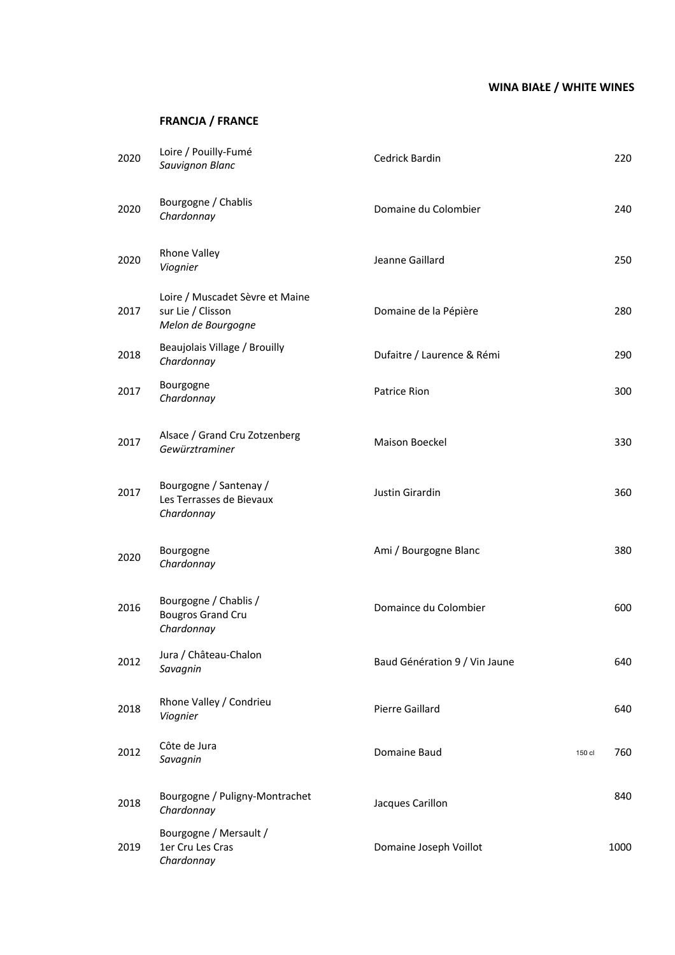# **WINA BIAŁE / WHITE WINES**

# **FRANCJA / FRANCE**

| 2020 | Loire / Pouilly-Fumé<br>Sauvignon Blanc                                    | <b>Cedrick Bardin</b>         |        | 220  |
|------|----------------------------------------------------------------------------|-------------------------------|--------|------|
| 2020 | Bourgogne / Chablis<br>Chardonnay                                          | Domaine du Colombier          |        | 240  |
| 2020 | Rhone Valley<br>Viognier                                                   | Jeanne Gaillard               |        | 250  |
| 2017 | Loire / Muscadet Sèvre et Maine<br>sur Lie / Clisson<br>Melon de Bourgogne | Domaine de la Pépière         |        | 280  |
| 2018 | Beaujolais Village / Brouilly<br>Chardonnay                                | Dufaitre / Laurence & Rémi    |        | 290  |
| 2017 | Bourgogne<br>Chardonnay                                                    | Patrice Rion                  |        | 300  |
| 2017 | Alsace / Grand Cru Zotzenberg<br>Gewürztraminer                            | Maison Boeckel                |        | 330  |
| 2017 | Bourgogne / Santenay /<br>Les Terrasses de Bievaux<br>Chardonnay           | Justin Girardin               |        | 360  |
| 2020 | Bourgogne<br>Chardonnay                                                    | Ami / Bourgogne Blanc         |        | 380  |
| 2016 | Bourgogne / Chablis /<br><b>Bougros Grand Cru</b><br>Chardonnay            | Domaince du Colombier         |        | 600  |
| 2012 | Jura / Château-Chalon<br>Savagnin                                          | Baud Génération 9 / Vin Jaune |        | 640  |
| 2018 | Rhone Valley / Condrieu<br>Viognier                                        | <b>Pierre Gaillard</b>        |        | 640  |
| 2012 | Côte de Jura<br>Savagnin                                                   | Domaine Baud                  | 150 cl | 760  |
| 2018 | Bourgogne / Puligny-Montrachet<br>Chardonnay                               | Jacques Carillon              |        | 840  |
| 2019 | Bourgogne / Mersault /<br>1er Cru Les Cras<br>Chardonnay                   | Domaine Joseph Voillot        |        | 1000 |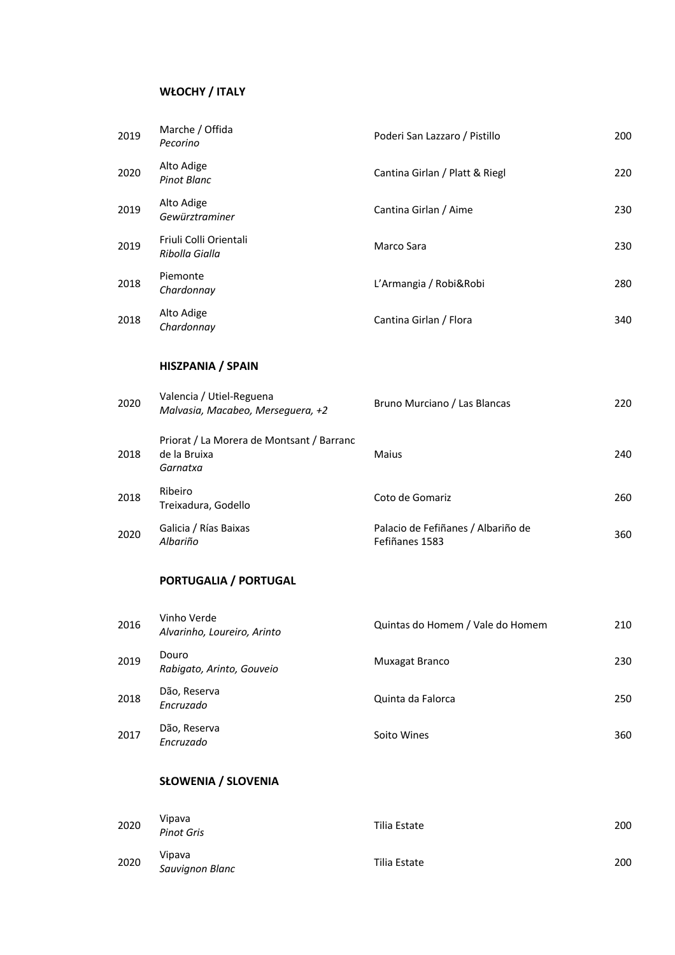# **WŁOCHY / ITALY**

|      | <b>SŁOWENIA / SLOVENIA</b>                                            |                                                      |     |
|------|-----------------------------------------------------------------------|------------------------------------------------------|-----|
| 2017 | Dão, Reserva<br>Encruzado                                             | Soito Wines                                          | 360 |
| 2018 | Dão, Reserva<br>Encruzado                                             | Quinta da Falorca                                    | 250 |
| 2019 | Douro<br>Rabigato, Arinto, Gouveio                                    | Muxagat Branco                                       | 230 |
| 2016 | Vinho Verde<br>Alvarinho, Loureiro, Arinto                            | Quintas do Homem / Vale do Homem                     | 210 |
|      | PORTUGALIA / PORTUGAL                                                 |                                                      |     |
| 2020 | Galicia / Rías Baixas<br>Albariño                                     | Palacio de Fefiñanes / Albariño de<br>Fefiñanes 1583 | 360 |
| 2018 | Ribeiro<br>Treixadura, Godello                                        | Coto de Gomariz                                      | 260 |
| 2018 | Priorat / La Morera de Montsant / Barranc<br>de la Bruixa<br>Garnatxa | Maius                                                | 240 |
| 2020 | Valencia / Utiel-Reguena<br>Malvasia, Macabeo, Merseguera, +2         | Bruno Murciano / Las Blancas                         | 220 |
|      | <b>HISZPANIA / SPAIN</b>                                              |                                                      |     |
| 2018 | Alto Adige<br>Chardonnay                                              | Cantina Girlan / Flora                               | 340 |
| 2018 | Piemonte<br>Chardonnay                                                | L'Armangia / Robi&Robi                               | 280 |
| 2019 | Friuli Colli Orientali<br>Ribolla Gialla                              | Marco Sara                                           | 230 |
| 2019 | Alto Adige<br>Gewürztraminer                                          | Cantina Girlan / Aime                                | 230 |
| 2020 | Alto Adige<br><b>Pinot Blanc</b>                                      | Cantina Girlan / Platt & Riegl                       | 220 |
| 2019 | Marche / Offida<br>Pecorino                                           | Poderi San Lazzaro / Pistillo                        | 200 |

| 2020 | Vipava<br><b>Pinot Gris</b> | Tilia Estate | 200 |
|------|-----------------------------|--------------|-----|
| 2020 | Vipava<br>Sauvignon Blanc   | Tilia Estate | 200 |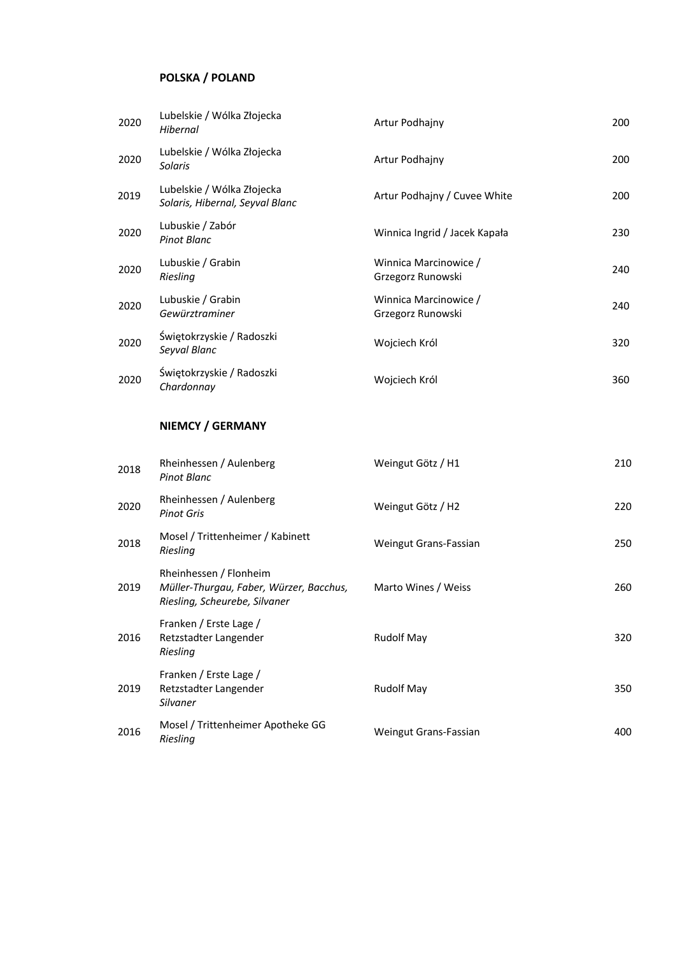# **POLSKA / POLAND**

| 2020 | Lubelskie / Wólka Złojecka<br>Hibernal                        | Artur Podhajny                             | 200 |
|------|---------------------------------------------------------------|--------------------------------------------|-----|
| 2020 | Lubelskie / Wólka Złojecka<br>Solaris                         | Artur Podhajny                             | 200 |
| 2019 | Lubelskie / Wólka Złojecka<br>Solaris, Hibernal, Seyval Blanc | Artur Podhajny / Cuvee White               | 200 |
| 2020 | Lubuskie / Zabór<br>Pinot Blanc                               | Winnica Ingrid / Jacek Kapała              | 230 |
| 2020 | Lubuskie / Grabin<br>Riesling                                 | Winnica Marcinowice /<br>Grzegorz Runowski | 240 |
| 2020 | Lubuskie / Grabin<br>Gewürztraminer                           | Winnica Marcinowice /<br>Grzegorz Runowski | 240 |
| 2020 | Świętokrzyskie / Radoszki<br>Seyval Blanc                     | Wojciech Król                              | 320 |
| 2020 | Świętokrzyskie / Radoszki<br>Chardonnay                       | Wojciech Król                              | 360 |

## **NIEMCY / GERMANY**

| 2018 | Rheinhessen / Aulenberg<br>Pinot Blanc                                                             | Weingut Götz / H1     | 210 |
|------|----------------------------------------------------------------------------------------------------|-----------------------|-----|
| 2020 | Rheinhessen / Aulenberg<br><b>Pinot Gris</b>                                                       | Weingut Götz / H2     | 220 |
| 2018 | Mosel / Trittenheimer / Kabinett<br>Riesling                                                       | Weingut Grans-Fassian | 250 |
| 2019 | Rheinhessen / Flonheim<br>Müller-Thurgau, Faber, Würzer, Bacchus,<br>Riesling, Scheurebe, Silvaner | Marto Wines / Weiss   | 260 |
| 2016 | Franken / Erste Lage /<br>Retzstadter Langender<br>Riesling                                        | <b>Rudolf May</b>     | 320 |
| 2019 | Franken / Erste Lage /<br>Retzstadter Langender<br>Silvaner                                        | <b>Rudolf May</b>     | 350 |
| 2016 | Mosel / Trittenheimer Apotheke GG<br>Riesling                                                      | Weingut Grans-Fassian | 400 |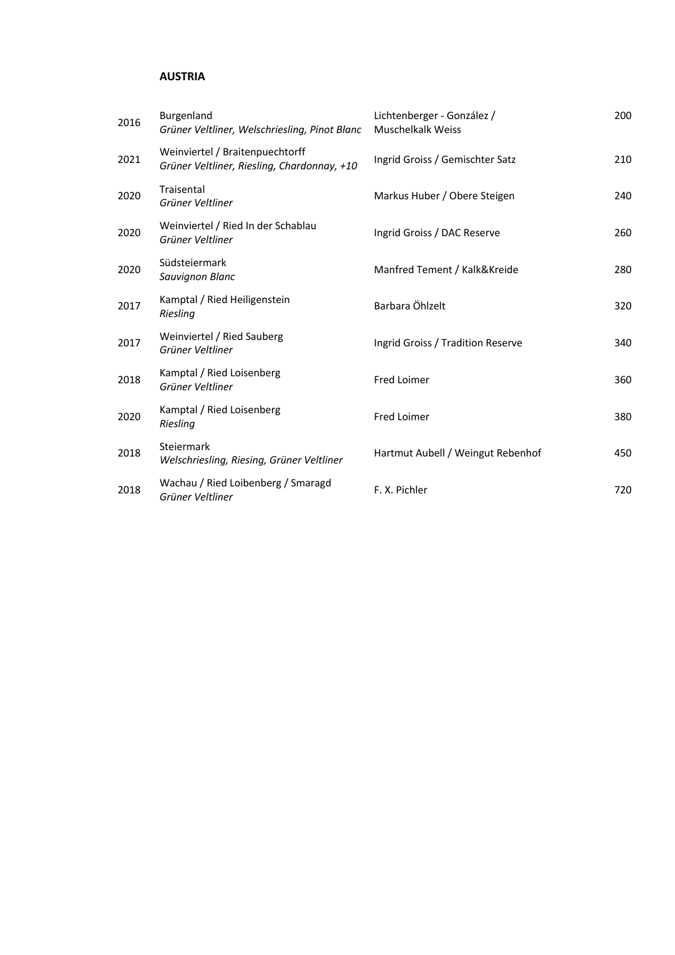# **AUSTRIA**

| 2016 | Burgenland<br>Grüner Veltliner, Welschriesling, Pinot Blanc                    | Lichtenberger - González /<br>Muschelkalk Weiss | 200 |
|------|--------------------------------------------------------------------------------|-------------------------------------------------|-----|
| 2021 | Weinviertel / Braitenpuechtorff<br>Grüner Veltliner, Riesling, Chardonnay, +10 | Ingrid Groiss / Gemischter Satz                 | 210 |
| 2020 | Traisental<br>Grüner Veltliner                                                 | Markus Huber / Obere Steigen                    | 240 |
| 2020 | Weinviertel / Ried In der Schablau<br>Grüner Veltliner                         | Ingrid Groiss / DAC Reserve                     | 260 |
| 2020 | Südsteiermark<br>Sauvignon Blanc                                               | Manfred Tement / Kalk&Kreide                    | 280 |
| 2017 | Kamptal / Ried Heiligenstein<br>Riesling                                       | Barbara Öhlzelt                                 | 320 |
| 2017 | Weinviertel / Ried Sauberg<br>Grüner Veltliner                                 | Ingrid Groiss / Tradition Reserve               | 340 |
| 2018 | Kamptal / Ried Loisenberg<br>Grüner Veltliner                                  | Fred Loimer                                     | 360 |
| 2020 | Kamptal / Ried Loisenberg<br>Riesling                                          | Fred Loimer                                     | 380 |
| 2018 | Steiermark<br>Welschriesling, Riesing, Grüner Veltliner                        | Hartmut Aubell / Weingut Rebenhof               | 450 |
| 2018 | Wachau / Ried Loibenberg / Smaragd<br>Grüner Veltliner                         | F. X. Pichler                                   | 720 |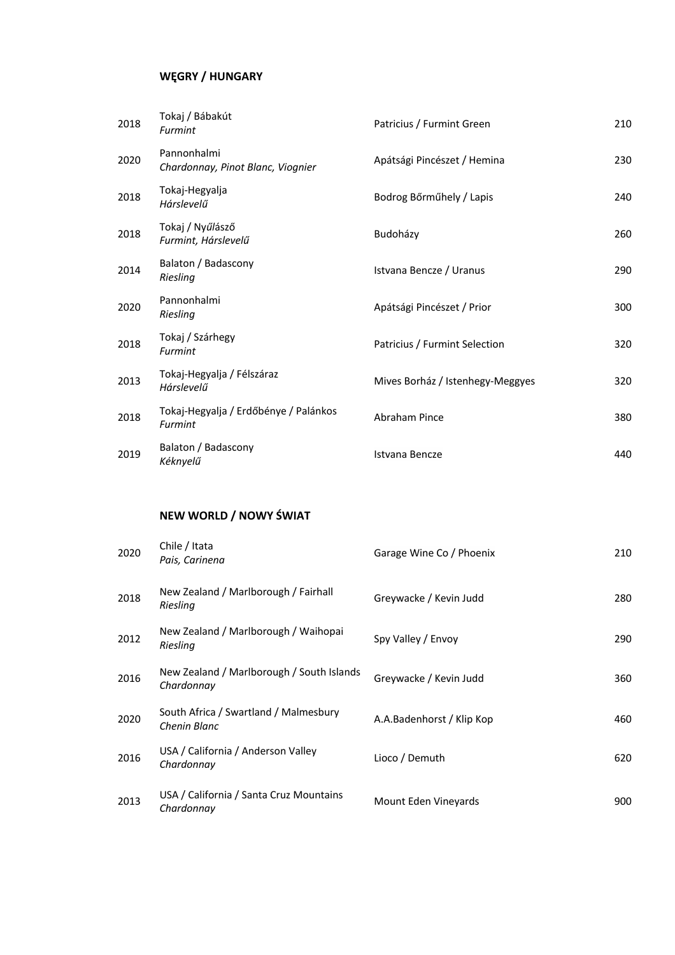# **WĘGRY / HUNGARY**

| 2018 | Tokaj / Bábakút<br>Furmint                       | Patricius / Furmint Green        | 210 |
|------|--------------------------------------------------|----------------------------------|-----|
| 2020 | Pannonhalmi<br>Chardonnay, Pinot Blanc, Viognier | Apátsági Pincészet / Hemina      | 230 |
| 2018 | Tokaj-Hegyalja<br>Hárslevelű                     | Bodrog Bőrműhely / Lapis         | 240 |
| 2018 | Tokaj / Nyűlásző<br>Furmint, Hárslevelű          | Budoházy                         | 260 |
| 2014 | Balaton / Badascony<br>Riesling                  | Istvana Bencze / Uranus          | 290 |
| 2020 | Pannonhalmi<br>Riesling                          | Apátsági Pincészet / Prior       | 300 |
| 2018 | Tokaj / Szárhegy<br>Furmint                      | Patricius / Furmint Selection    | 320 |
| 2013 | Tokaj-Hegyalja / Félszáraz<br>Hárslevelű         | Mives Borház / Istenhegy-Meggyes | 320 |
| 2018 | Tokaj-Hegyalja / Erdőbénye / Palánkos<br>Furmint | Abraham Pince                    | 380 |
| 2019 | Balaton / Badascony<br>Kéknyelű                  | Istvana Bencze                   | 440 |

# **NEW WORLD / NOWY ŚWIAT**

| 2020 | Chile / Itata<br>Pais, Carinena                         | Garage Wine Co / Phoenix  | 210 |
|------|---------------------------------------------------------|---------------------------|-----|
| 2018 | New Zealand / Marlborough / Fairhall<br>Riesling        | Greywacke / Kevin Judd    | 280 |
| 2012 | New Zealand / Marlborough / Waihopai<br>Riesling        | Spy Valley / Envoy        | 290 |
| 2016 | New Zealand / Marlborough / South Islands<br>Chardonnay | Greywacke / Kevin Judd    | 360 |
| 2020 | South Africa / Swartland / Malmesbury<br>Chenin Blanc   | A.A.Badenhorst / Klip Kop | 460 |
| 2016 | USA / California / Anderson Valley<br>Chardonnay        | Lioco / Demuth            | 620 |
| 2013 | USA / California / Santa Cruz Mountains<br>Chardonnay   | Mount Eden Vineyards      | 900 |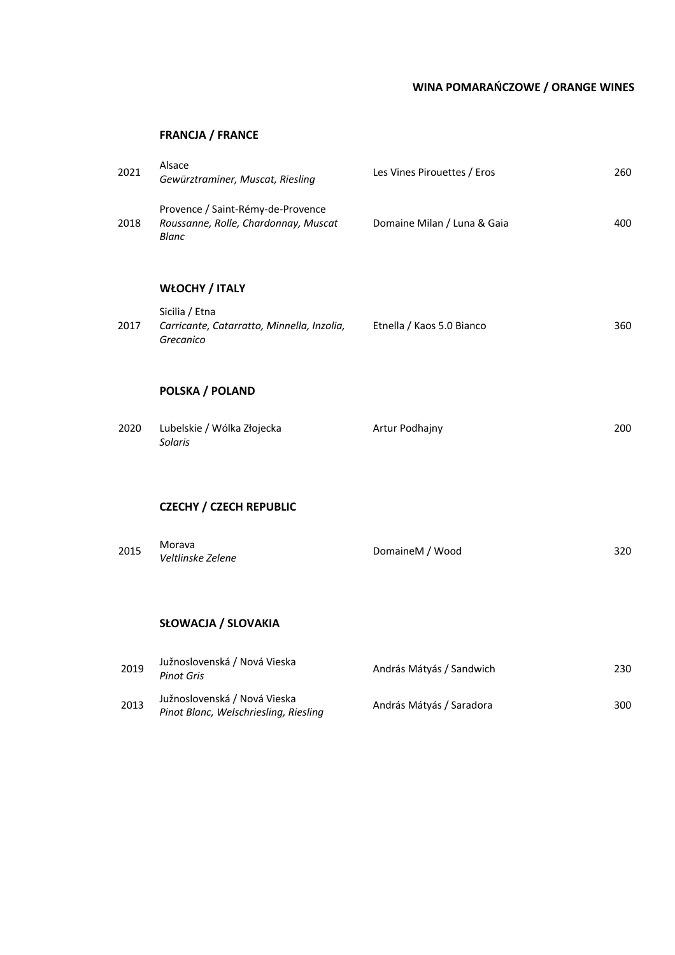# **WINA POMARAŃCZOWE / ORANGE WINES**

## **FRANCJA / FRANCE**

| 2021 | Alsace<br>Gewürztraminer, Muscat, Riesling                                                | Les Vines Pirouettes / Eros | 260 |
|------|-------------------------------------------------------------------------------------------|-----------------------------|-----|
| 2018 | Provence / Saint-Rémy-de-Provence<br>Roussanne, Rolle, Chardonnay, Muscat<br><b>Blanc</b> | Domaine Milan / Luna & Gaia | 400 |
|      | <b>WŁOCHY / ITALY</b>                                                                     |                             |     |
| 2017 | Sicilia / Etna<br>Carricante, Catarratto, Minnella, Inzolia,<br>Grecanico                 | Etnella / Kaos 5.0 Bianco   | 360 |
|      | POLSKA / POLAND                                                                           |                             |     |
| 2020 | Lubelskie / Wólka Złojecka<br><b>Solaris</b>                                              | Artur Podhajny              | 200 |
|      | <b>CZECHY / CZECH REPUBLIC</b>                                                            |                             |     |
|      |                                                                                           |                             |     |
| 2015 | Morava<br>Veltlinske Zelene                                                               | DomaineM / Wood             | 320 |
|      |                                                                                           |                             |     |
|      | <b>SŁOWACJA / SLOVAKIA</b>                                                                |                             |     |
| 2019 | Južnoslovenská / Nová Vieska<br><b>Pinot Gris</b>                                         | András Mátyás / Sandwich    | 230 |
| 2013 | Južnoslovenská / Nová Vieska<br>Pinot Blanc, Welschriesling, Riesling                     | András Mátyás / Saradora    | 300 |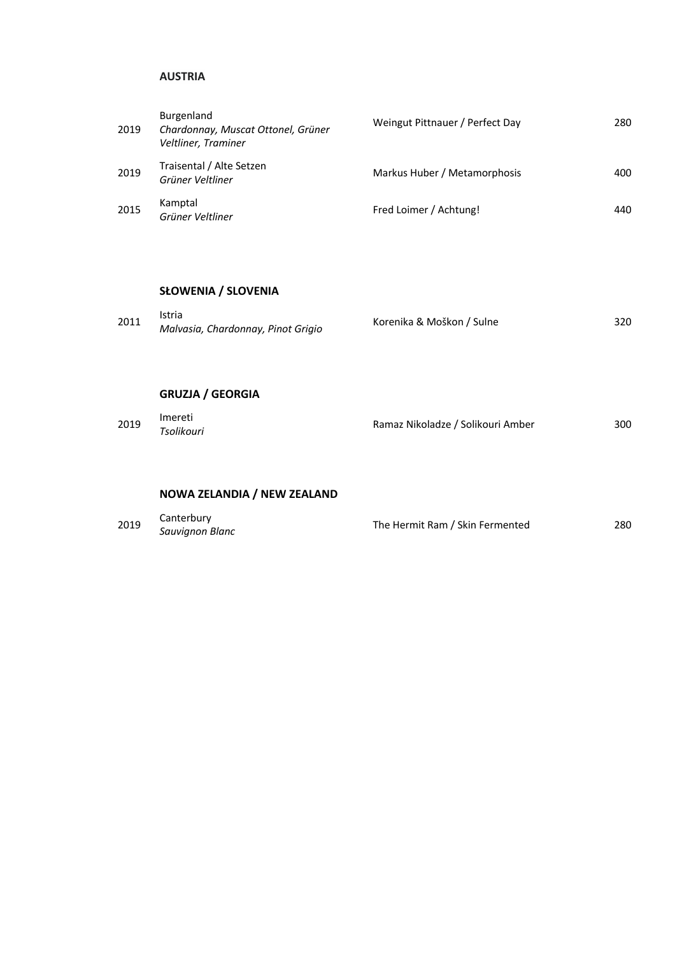#### **AUSTRIA**

| 2019 | Burgenland<br>Chardonnay, Muscat Ottonel, Grüner<br>Veltliner, Traminer | Weingut Pittnauer / Perfect Day | 280 |
|------|-------------------------------------------------------------------------|---------------------------------|-----|
| 2019 | Traisental / Alte Setzen<br>Grüner Veltliner                            | Markus Huber / Metamorphosis    | 400 |
| 2015 | Kamptal<br>Grüner Veltliner                                             | Fred Loimer / Achtung!          | 440 |

#### **SŁOWENIA / SLOVENIA**

| 2011 | Istria<br>Korenika & Moškon / Sulne<br>320 |  |  |  |  |
|------|--------------------------------------------|--|--|--|--|
|      | Malvasia, Chardonnay, Pinot Grigio         |  |  |  |  |

## **GRUZJA / GEORGIA**

| Imereti<br>Tsolikouri | 300                               |
|-----------------------|-----------------------------------|
|                       |                                   |
|                       | Ramaz Nikoladze / Solikouri Amber |

## **NOWA ZELANDIA / NEW ZEALAND**

| 2019 | Canterbury      | The Hermit Ram / Skin Fermented | 280 |
|------|-----------------|---------------------------------|-----|
|      | Sauvignon Blanc |                                 |     |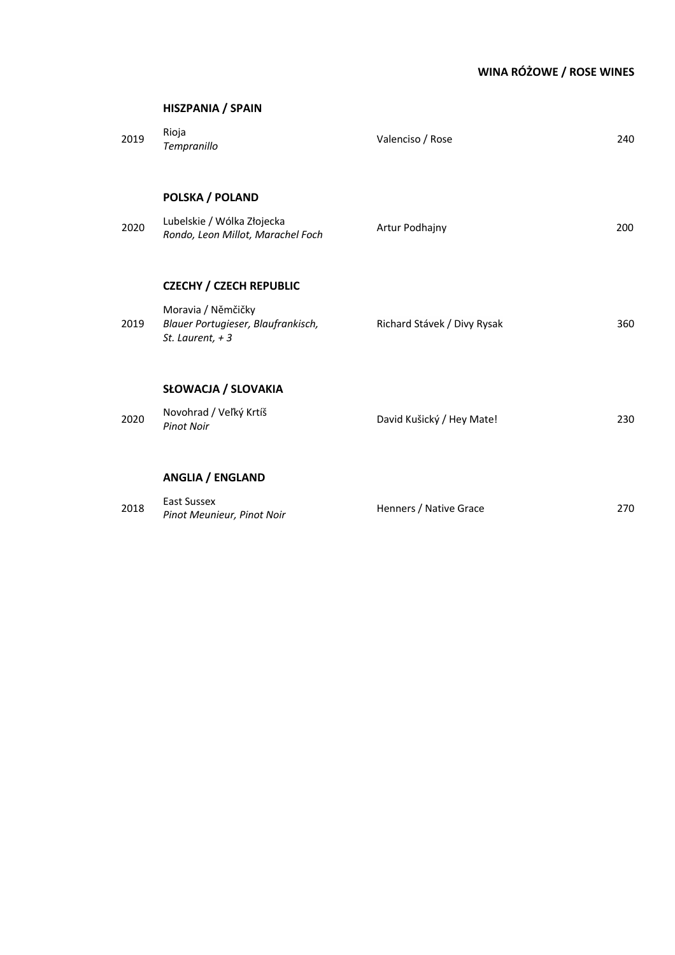# 2019 Rioja<br>Tempranillo *Tempranillo* Valenciso / Rose <sup>240</sup> **POLSKA / POLAND** <sup>2020</sup> Lubelskie / Wólka Złojecka *Rondo, Leon Millot, Marachel Foch* Artur Podhajny 200 **CZECHY / CZECH REPUBLIC** 2019 Moravia / Němčičky *Blauer Portugieser, Blaufrankisch, St. Laurent, + 3* Richard Stávek / Divy Rysak 360 **SŁOWACJA / SLOVAKIA** 2020 Novohrad / Veľký Krtíš<br>*Pinot Noir Pinot Noir* David Kušický / Hey Mate! <sup>230</sup>

#### **ANGLIA / ENGLAND**

| 2018 | East Sussex                | Henners / Native Grace | 270 |
|------|----------------------------|------------------------|-----|
|      | Pinot Meunieur, Pinot Noir |                        |     |

#### **HISZPANIA / SPAIN**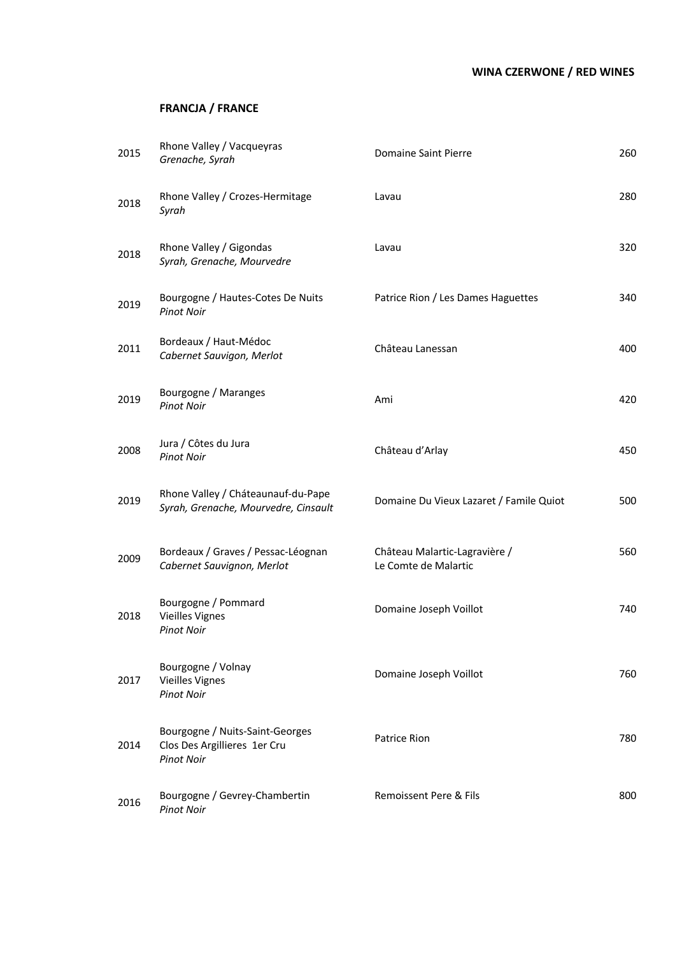# **WINA CZERWONE / RED WINES**

# **FRANCJA / FRANCE**

| 2015 | Rhone Valley / Vacqueyras<br>Grenache, Syrah                                         | Domaine Saint Pierre                                  | 260 |
|------|--------------------------------------------------------------------------------------|-------------------------------------------------------|-----|
| 2018 | Rhone Valley / Crozes-Hermitage<br>Syrah                                             | Lavau                                                 | 280 |
| 2018 | Rhone Valley / Gigondas<br>Syrah, Grenache, Mourvedre                                | Lavau                                                 | 320 |
| 2019 | Bourgogne / Hautes-Cotes De Nuits<br><b>Pinot Noir</b>                               | Patrice Rion / Les Dames Haguettes                    | 340 |
| 2011 | Bordeaux / Haut-Médoc<br>Cabernet Sauvigon, Merlot                                   | Château Lanessan                                      | 400 |
| 2019 | Bourgogne / Maranges<br><b>Pinot Noir</b>                                            | Ami                                                   | 420 |
| 2008 | Jura / Côtes du Jura<br><b>Pinot Noir</b>                                            | Château d'Arlay                                       | 450 |
| 2019 | Rhone Valley / Cháteaunauf-du-Pape<br>Syrah, Grenache, Mourvedre, Cinsault           | Domaine Du Vieux Lazaret / Famile Quiot               | 500 |
| 2009 | Bordeaux / Graves / Pessac-Léognan<br>Cabernet Sauvignon, Merlot                     | Château Malartic-Lagravière /<br>Le Comte de Malartic | 560 |
| 2018 | Bourgogne / Pommard<br><b>Vieilles Vignes</b><br><b>Pinot Noir</b>                   | Domaine Joseph Voillot                                | 740 |
| 2017 | Bourgogne / Volnay<br><b>Vieilles Vignes</b><br><b>Pinot Noir</b>                    | Domaine Joseph Voillot                                | 760 |
| 2014 | Bourgogne / Nuits-Saint-Georges<br>Clos Des Argillieres 1er Cru<br><b>Pinot Noir</b> | Patrice Rion                                          | 780 |
| 2016 | Bourgogne / Gevrey-Chambertin<br><b>Pinot Noir</b>                                   | Remoissent Pere & Fils                                | 800 |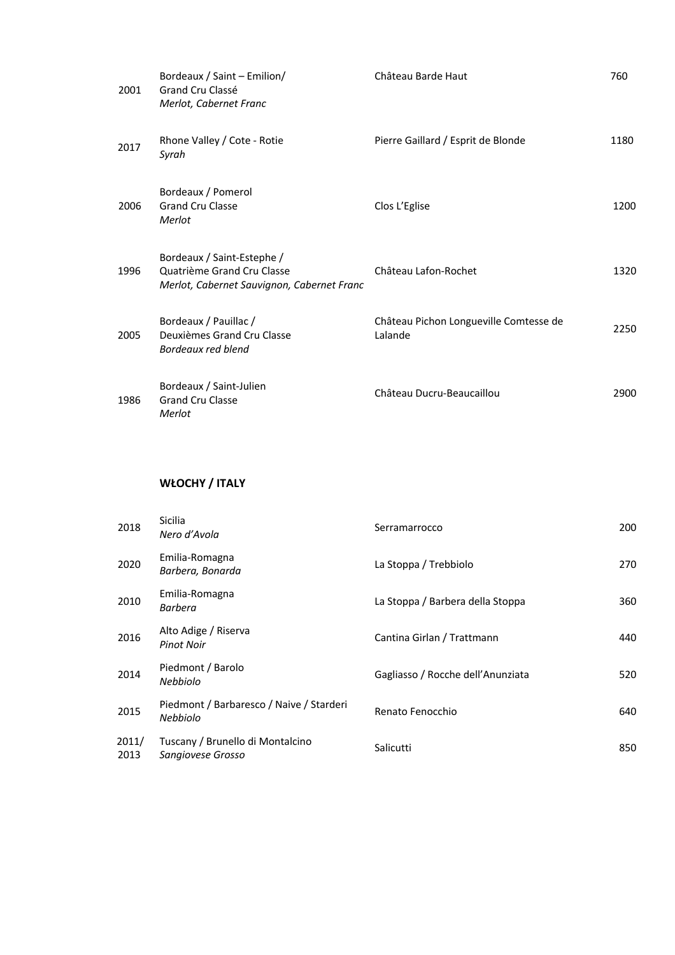| 2001 | Bordeaux / Saint - Emilion/<br>Grand Cru Classé<br>Merlot, Cabernet Franc                              | Château Barde Haut                                | 760  |
|------|--------------------------------------------------------------------------------------------------------|---------------------------------------------------|------|
| 2017 | Rhone Valley / Cote - Rotie<br>Syrah                                                                   | Pierre Gaillard / Esprit de Blonde                | 1180 |
| 2006 | Bordeaux / Pomerol<br><b>Grand Cru Classe</b><br>Merlot                                                | Clos L'Eglise                                     | 1200 |
| 1996 | Bordeaux / Saint-Estephe /<br>Quatrième Grand Cru Classe<br>Merlot, Cabernet Sauvignon, Cabernet Franc | Château Lafon-Rochet                              | 1320 |
| 2005 | Bordeaux / Pauillac /<br>Deuxièmes Grand Cru Classe<br>Bordeaux red blend                              | Château Pichon Longueville Comtesse de<br>Lalande | 2250 |
| 1986 | Bordeaux / Saint-Julien<br><b>Grand Cru Classe</b><br>Merlot                                           | Château Ducru-Beaucaillou                         | 2900 |

# **WŁOCHY / ITALY**

| 2018          | <b>Sicilia</b><br>Nero d'Avola                              | Serramarrocco                     | 200 |
|---------------|-------------------------------------------------------------|-----------------------------------|-----|
| 2020          | Emilia-Romagna<br>Barbera, Bonarda                          | La Stoppa / Trebbiolo             | 270 |
| 2010          | Emilia-Romagna<br><b>Barbera</b>                            | La Stoppa / Barbera della Stoppa  | 360 |
| 2016          | Alto Adige / Riserva<br><b>Pinot Noir</b>                   | Cantina Girlan / Trattmann        | 440 |
| 2014          | Piedmont / Barolo<br><b>Nebbiolo</b>                        | Gagliasso / Rocche dell'Anunziata | 520 |
| 2015          | Piedmont / Barbaresco / Naive / Starderi<br><b>Nebbiolo</b> | Renato Fenocchio                  | 640 |
| 2011/<br>2013 | Tuscany / Brunello di Montalcino<br>Sangiovese Grosso       | Salicutti                         | 850 |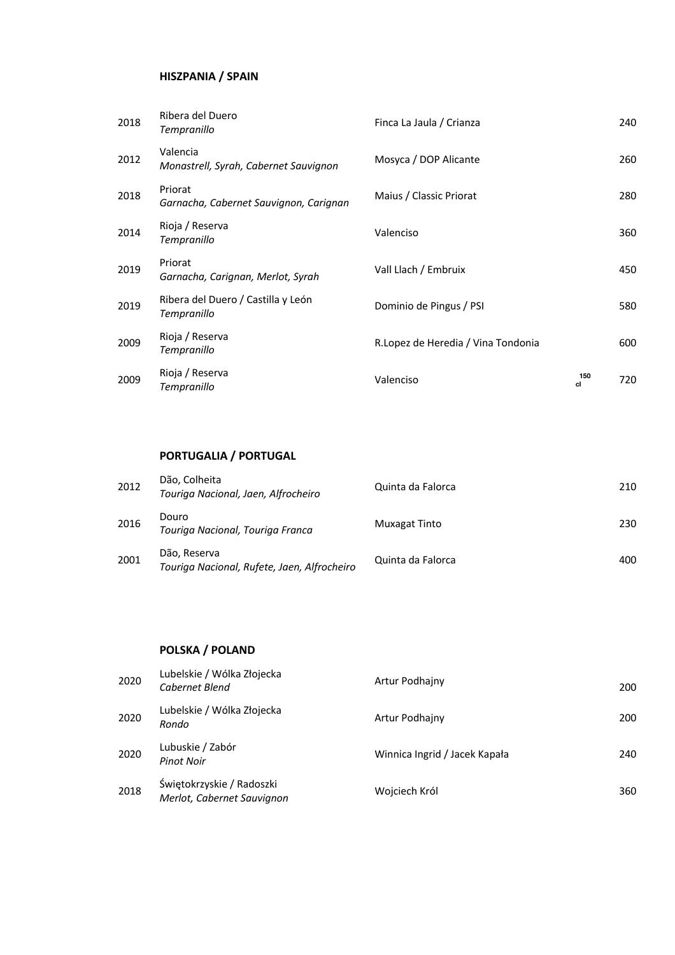## **HISZPANIA / SPAIN**

| 2018 | Ribera del Duero<br>Tempranillo                   | Finca La Jaula / Crianza            |           | 240 |
|------|---------------------------------------------------|-------------------------------------|-----------|-----|
| 2012 | Valencia<br>Monastrell, Syrah, Cabernet Sauvignon | Mosyca / DOP Alicante               |           | 260 |
| 2018 | Priorat<br>Garnacha, Cabernet Sauvignon, Carignan | Maius / Classic Priorat             |           | 280 |
| 2014 | Rioja / Reserva<br>Tempranillo                    | Valenciso                           |           | 360 |
| 2019 | Priorat<br>Garnacha, Carignan, Merlot, Syrah      | Vall Llach / Embruix                |           | 450 |
| 2019 | Ribera del Duero / Castilla y León<br>Tempranillo | Dominio de Pingus / PSI             |           | 580 |
| 2009 | Rioja / Reserva<br>Tempranillo                    | R. Lopez de Heredia / Vina Tondonia |           | 600 |
| 2009 | Rioja / Reserva<br>Tempranillo                    | Valenciso                           | 150<br>cl | 720 |

# **PORTUGALIA / PORTUGAL**

| 2012 | Dão, Colheita<br>Touriga Nacional, Jaen, Alfrocheiro        | Quinta da Falorca    | 210 |
|------|-------------------------------------------------------------|----------------------|-----|
| 2016 | Douro<br>Touriga Nacional, Touriga Franca                   | <b>Muxagat Tinto</b> | 230 |
| 2001 | Dão, Reserva<br>Touriga Nacional, Rufete, Jaen, Alfrocheiro | Quinta da Falorca    | 400 |

### **POLSKA / POLAND**

| 2020 | Lubelskie / Wólka Złojecka<br>Cabernet Blend            | Artur Podhajny                | 200 |
|------|---------------------------------------------------------|-------------------------------|-----|
| 2020 | Lubelskie / Wólka Złojecka<br>Rondo                     | Artur Podhajny                | 200 |
| 2020 | Lubuskie / Zabór<br>Pinot Noir                          | Winnica Ingrid / Jacek Kapała | 240 |
| 2018 | Świętokrzyskie / Radoszki<br>Merlot, Cabernet Sauvignon | Wojciech Król                 | 360 |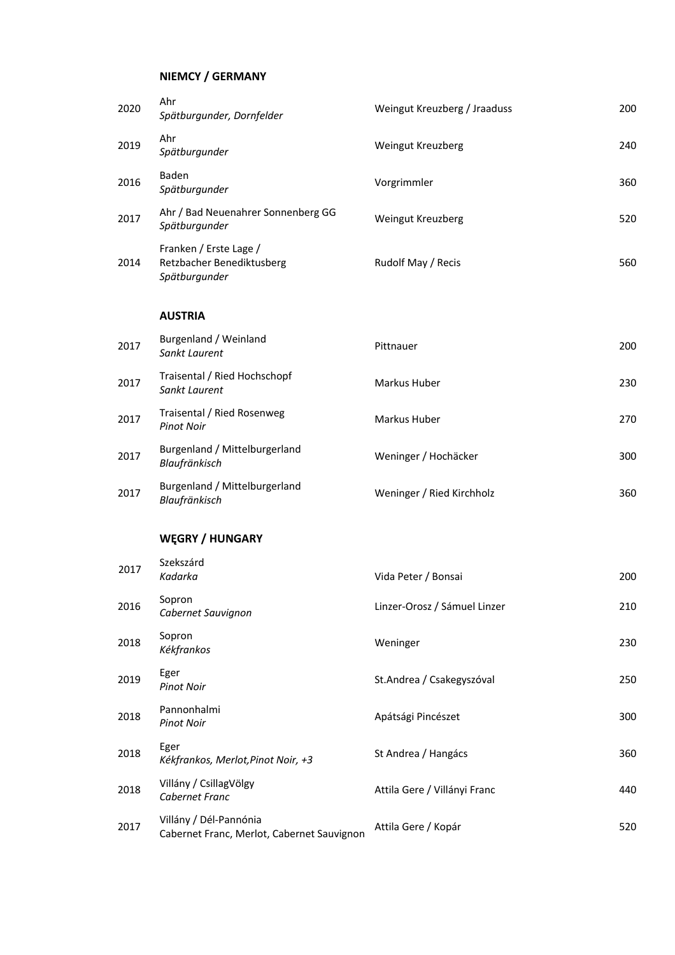## **NIEMCY / GERMANY**

| 2020 | Ahr<br>Spätburgunder, Dornfelder                                     | Weingut Kreuzberg / Jraaduss | 200 |
|------|----------------------------------------------------------------------|------------------------------|-----|
| 2019 | Ahr<br>Spätburgunder                                                 | Weingut Kreuzberg            | 240 |
| 2016 | Baden<br>Spätburgunder                                               | Vorgrimmler                  | 360 |
| 2017 | Ahr / Bad Neuenahrer Sonnenberg GG<br>Spätburgunder                  | Weingut Kreuzberg            | 520 |
| 2014 | Franken / Erste Lage /<br>Retzbacher Benediktusberg<br>Spätburgunder | Rudolf May / Recis           | 560 |
|      | <b>AUSTRIA</b>                                                       |                              |     |
| 2017 | Burgenland / Weinland<br>Sankt Laurent                               | Pittnauer                    | 200 |
| 2017 | Traisental / Ried Hochschopf<br>Sankt Laurent                        | Markus Huber                 | 230 |
| 2017 | Traisental / Ried Rosenweg<br><b>Pinot Noir</b>                      | Markus Huber                 | 270 |
| 2017 | Burgenland / Mittelburgerland<br>Blaufränkisch                       | Weninger / Hochäcker         | 300 |
| 2017 | Burgenland / Mittelburgerland<br>Blaufränkisch                       | Weninger / Ried Kirchholz    | 360 |
|      | <b>WEGRY / HUNGARY</b>                                               |                              |     |
| 2017 | Szekszárd<br>Kadarka                                                 | Vida Peter / Bonsai          | 200 |

| 2017 | Kadarka                                                              | Vida Peter / Bonsai          | 200 |
|------|----------------------------------------------------------------------|------------------------------|-----|
| 2016 | Sopron<br>Cabernet Sauvignon                                         | Linzer-Orosz / Sámuel Linzer | 210 |
| 2018 | Sopron<br>Kékfrankos                                                 | Weninger                     | 230 |
| 2019 | Eger<br><b>Pinot Noir</b>                                            | St.Andrea / Csakegyszóval    | 250 |
| 2018 | Pannonhalmi<br><b>Pinot Noir</b>                                     | Apátsági Pincészet           | 300 |
| 2018 | Eger<br>Kékfrankos, Merlot, Pinot Noir, +3                           | St Andrea / Hangács          | 360 |
| 2018 | Villány / CsillagVölgy<br>Cabernet Franc                             | Attila Gere / Villányi Franc | 440 |
| 2017 | Villány / Dél-Pannónia<br>Cabernet Franc, Merlot, Cabernet Sauvignon | Attila Gere / Kopár          | 520 |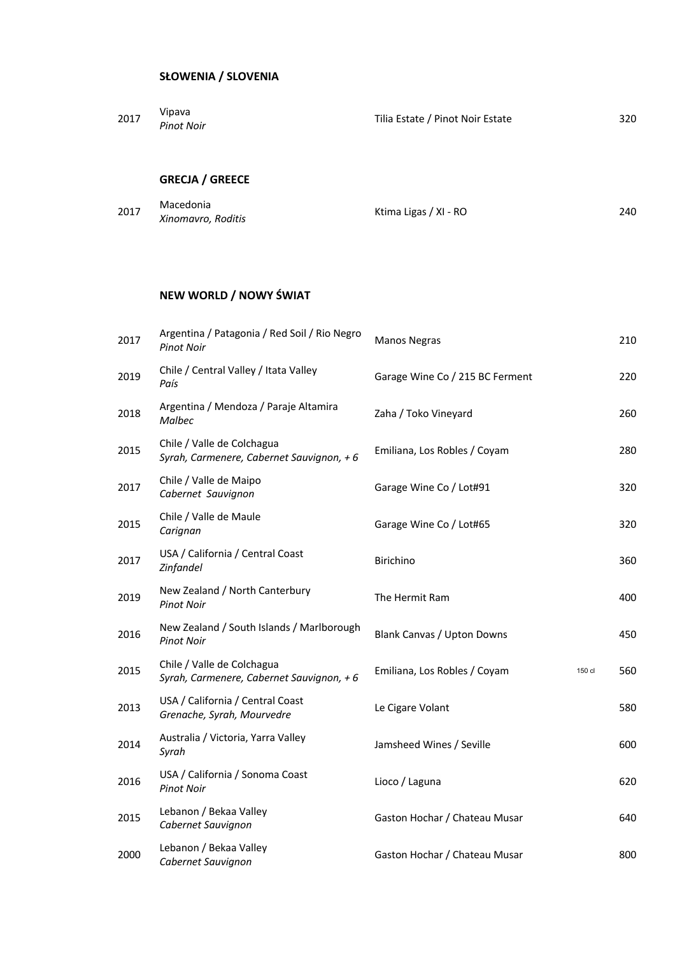| 2017 | Vipava<br><b>Pinot Noir</b> | Tilia Estate / Pinot Noir Estate | 320 |
|------|-----------------------------|----------------------------------|-----|
|      |                             |                                  |     |

# **GRECJA / GREECE**

| 2017 | Macedonia          |                       | 240 |
|------|--------------------|-----------------------|-----|
|      | Xinomavro, Roditis | Ktima Ligas / XI - RO |     |

# **NEW WORLD / NOWY ŚWIAT**

| 2017 | Argentina / Patagonia / Red Soil / Rio Negro<br><b>Pinot Noir</b>       | <b>Manos Negras</b>               |        | 210 |
|------|-------------------------------------------------------------------------|-----------------------------------|--------|-----|
| 2019 | Chile / Central Valley / Itata Valley<br>País                           | Garage Wine Co / 215 BC Ferment   |        | 220 |
| 2018 | Argentina / Mendoza / Paraje Altamira<br><b>Malbec</b>                  | Zaha / Toko Vineyard              |        | 260 |
| 2015 | Chile / Valle de Colchagua<br>Syrah, Carmenere, Cabernet Sauvignon, + 6 | Emiliana, Los Robles / Coyam      |        | 280 |
| 2017 | Chile / Valle de Maipo<br>Cabernet Sauvignon                            | Garage Wine Co / Lot#91           |        | 320 |
| 2015 | Chile / Valle de Maule<br>Carignan                                      | Garage Wine Co / Lot#65           |        | 320 |
| 2017 | USA / California / Central Coast<br>Zinfandel                           | Birichino                         |        | 360 |
| 2019 | New Zealand / North Canterbury<br><b>Pinot Noir</b>                     | The Hermit Ram                    |        | 400 |
| 2016 | New Zealand / South Islands / Marlborough<br><b>Pinot Noir</b>          | <b>Blank Canvas / Upton Downs</b> |        | 450 |
| 2015 | Chile / Valle de Colchagua<br>Syrah, Carmenere, Cabernet Sauvignon, + 6 | Emiliana, Los Robles / Coyam      | 150 cl | 560 |
| 2013 | USA / California / Central Coast<br>Grenache, Syrah, Mourvedre          | Le Cigare Volant                  |        | 580 |
| 2014 | Australia / Victoria, Yarra Valley<br>Syrah                             | Jamsheed Wines / Seville          |        | 600 |
| 2016 | USA / California / Sonoma Coast<br><b>Pinot Noir</b>                    | Lioco / Laguna                    |        | 620 |
| 2015 | Lebanon / Bekaa Valley<br>Cabernet Sauvignon                            | Gaston Hochar / Chateau Musar     |        | 640 |
| 2000 | Lebanon / Bekaa Valley<br>Cabernet Sauvignon                            | Gaston Hochar / Chateau Musar     |        | 800 |